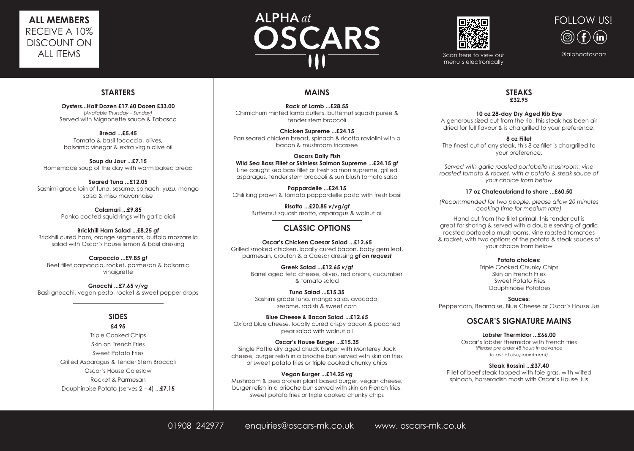## **STARTERS**

**Oysters...Half Dozen £17.60 Dozen £33.00** *(Available Thursday – Sunday)* Served with Mignonette sauce & Tabasco

**Bread ...£5.45** Tomato & basil focaccia, olives, balsamic vinegar & extra virgin olive oil

**Soup du Jour ...£7.15** Homemade soup of the day with warm baked bread

**Seared Tuna ...£12.05** Sashimi grade loin of tuna, sesame, spinach, yuzu, mango salsa & miso mayonnaise

> **Calamari ...£9.85** Panko coated squid rings with garlic aioli

**Brickhill Ham Salad ...£8.25** *gf* Brickhill cured ham, orange segments, buffalo mozzarella salad with Oscar's house lemon & basil dressing

**Carpaccio ...£9.85** *gf* Beef fillet carpaccio, rocket, parmesan & balsamic vinaigrette

**Gnocchi ...£7.65** *v/vg* Basil gnocchi, vegan pesto, rocket & sweet pepper drops

#### **SIDES £4.95**

Triple Cooked Chips Skin on French Fries Sweet Potato Fries Grilled Asparagus & Tender Stem Broccoli Oscar's House Coleslaw Rocket & Parmesan Dauphinoise Potato (serves 2 – 4) ...**£7.15**

## **MAINS**

**Rack of Lamb ...£28.55** Chimichurri minted lamb cutlets, butternut squash puree & tender stem broccoli

**Chicken Supreme ...£24.15** Pan seared chicken breast, spinach & ricotta raviolini with a bacon & mushroom fricassee

**Oscars Daily Fish Wild Sea Bass Fillet or Skinless Salmon Supreme ...£24.15** *gf* Line caught sea bass fillet or fresh salmon supreme, grilled asparagus, tender stem broccoli & sun blush tomato salsa

**Pappardelle ...£24.15** Chili king prawn & tomato pappardelle pasta with fresh basil

> **Risotto ...£20.85** *v/vg/gf* Butternut squash risotto, asparagus & walnut oil

## **CLASSIC OPTIONS**

**Oscar's Chicken Caesar Salad ...£12.65** Grilled smoked chicken, locally cured bacon, baby gem leaf, parmesan, crouton & a Caesar dressing *gf on request*

> **Greek Salad ...£12.65** *v/gf* Barrel aged feta cheese, olives, red onions, cucumber & tomato salad

**Tuna Salad ...£15.35** Sashimi grade tuna, mango salsa, avocado, sesame, radish & sweet corn

**Blue Cheese & Bacon Salad ...£12.65** Oxford blue cheese, locally cured crispy bacon & poached pear salad with walnut oil

**Oscar's House Burger ...£15.35** Single Pattie dry aged chuck burger with Monterey Jack cheese, burger relish in a brioche bun served with skin on fries or sweet potato fries or triple cooked chunky chips

**Vegan Burger ...£14.25** *vg* Mushroom & pea protein plant based burger, vegan cheese, burger relish in a brioche bun served with skin on French fries, sweet potato fries or triple cooked chunky chips

#### **STEAKS £32.95**

#### **10 oz 28-day Dry Aged Rib Eye**

A generous sized cut from the rib, this steak has been air dried for full flavour & is chargrilled to your preference.

#### **8 oz Fillet**

The finest cut of any steak, this 8 oz fillet is chargrilled to your preference.

*Served with garlic roasted portobello mushroom, vine roasted tomato & rocket, with a potato & steak sauce of your choice from below*

#### **17 oz Chateaubriand to share ...£60.50**

*(Recommended for two people, please allow 20 minutes cooking time for medium rare)*

Hand cut from the fillet primal, this tender cut is great for sharing & served with a double serving of garlic roasted portobello mushrooms, vine roasted tomatoes & rocket, with two options of the potato & steak sauces of your choice from below

#### **Potato choices:**

Triple Cooked Chunky Chips Skin on French Fries Sweet Potato Fries Dauphinoise Potatoes

**Sauces:**

Peppercorn, Bearnaise, Blue Cheese or Oscar's House Jus

### **OSCAR'S SIGNATURE MAINS**

#### **Lobster Thermidor ...£66.00**

Oscar's lobster thermidor with French fries *(Please pre order 48 hours in advance to avoid disappointment)*

#### **Steak Rossini ...£37.40**

Fillet of beef steak topped with foie gras, with wilted spinach, horseradish mash with Oscar's House Jus

@alphaatoscars





# **ALL MEMBERS**  RECEIVE A 10% DISCOUNT ON ALL ITEMS

# $ALPHA$  at OSCARS